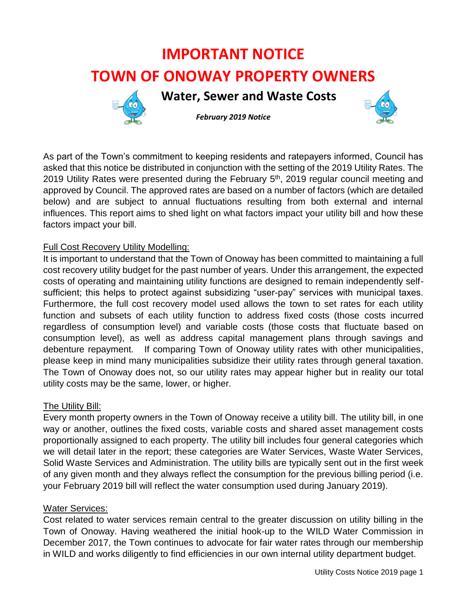# **IMPORTANT NOTICE TOWN OF ONOWAY PROPERTY OWNERS**



 **Water, Sewer and Waste Costs**



*February 2019 Notice* 

As part of the Town's commitment to keeping residents and ratepayers informed, Council has asked that this notice be distributed in conjunction with the setting of the 2019 Utility Rates. The 2019 Utility Rates were presented during the February 5<sup>th</sup>, 2019 regular council meeting and approved by Council. The approved rates are based on a number of factors (which are detailed below) and are subject to annual fluctuations resulting from both external and internal influences. This report aims to shed light on what factors impact your utility bill and how these factors impact your bill.

# Full Cost Recovery Utility Modelling:

It is important to understand that the Town of Onoway has been committed to maintaining a full cost recovery utility budget for the past number of years. Under this arrangement, the expected costs of operating and maintaining utility functions are designed to remain independently selfsufficient; this helps to protect against subsidizing "user-pay" services with municipal taxes. Furthermore, the full cost recovery model used allows the town to set rates for each utility function and subsets of each utility function to address fixed costs (those costs incurred regardless of consumption level) and variable costs (those costs that fluctuate based on consumption level), as well as address capital management plans through savings and debenture repayment. If comparing Town of Onoway utility rates with other municipalities, please keep in mind many municipalities subsidize their utility rates through general taxation. The Town of Onoway does not, so our utility rates may appear higher but in reality our total utility costs may be the same, lower, or higher.

## The Utility Bill:

Every month property owners in the Town of Onoway receive a utility bill. The utility bill, in one way or another, outlines the fixed costs, variable costs and shared asset management costs proportionally assigned to each property. The utility bill includes four general categories which we will detail later in the report; these categories are Water Services, Waste Water Services, Solid Waste Services and Administration. The utility bills are typically sent out in the first week of any given month and they always reflect the consumption for the previous billing period (i.e. your February 2019 bill will reflect the water consumption used during January 2019).

## Water Services:

Cost related to water services remain central to the greater discussion on utility billing in the Town of Onoway. Having weathered the initial hook-up to the WILD Water Commission in December 2017, the Town continues to advocate for fair water rates through our membership in WILD and works diligently to find efficiencies in our own internal utility department budget.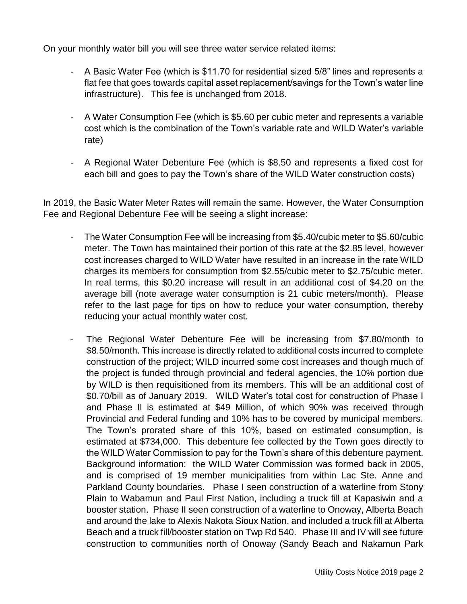On your monthly water bill you will see three water service related items:

- A Basic Water Fee (which is \$11.70 for residential sized 5/8" lines and represents a flat fee that goes towards capital asset replacement/savings for the Town's water line infrastructure). This fee is unchanged from 2018.
- A Water Consumption Fee (which is \$5.60 per cubic meter and represents a variable cost which is the combination of the Town's variable rate and WILD Water's variable rate)
- A Regional Water Debenture Fee (which is \$8.50 and represents a fixed cost for each bill and goes to pay the Town's share of the WILD Water construction costs)

In 2019, the Basic Water Meter Rates will remain the same. However, the Water Consumption Fee and Regional Debenture Fee will be seeing a slight increase:

- The Water Consumption Fee will be increasing from \$5.40/cubic meter to \$5.60/cubic meter. The Town has maintained their portion of this rate at the \$2.85 level, however cost increases charged to WILD Water have resulted in an increase in the rate WILD charges its members for consumption from \$2.55/cubic meter to \$2.75/cubic meter. In real terms, this \$0.20 increase will result in an additional cost of \$4.20 on the average bill (note average water consumption is 21 cubic meters/month). Please refer to the last page for tips on how to reduce your water consumption, thereby reducing your actual monthly water cost.
- The Regional Water Debenture Fee will be increasing from \$7.80/month to \$8.50/month. This increase is directly related to additional costs incurred to complete construction of the project; WILD incurred some cost increases and though much of the project is funded through provincial and federal agencies, the 10% portion due by WILD is then requisitioned from its members. This will be an additional cost of \$0.70/bill as of January 2019. WILD Water's total cost for construction of Phase I and Phase II is estimated at \$49 Million, of which 90% was received through Provincial and Federal funding and 10% has to be covered by municipal members. The Town's prorated share of this 10%, based on estimated consumption, is estimated at \$734,000. This debenture fee collected by the Town goes directly to the WILD Water Commission to pay for the Town's share of this debenture payment. Background information: the WILD Water Commission was formed back in 2005, and is comprised of 19 member municipalities from within Lac Ste. Anne and Parkland County boundaries. Phase I seen construction of a waterline from Stony Plain to Wabamun and Paul First Nation, including a truck fill at Kapasiwin and a booster station. Phase II seen construction of a waterline to Onoway, Alberta Beach and around the lake to Alexis Nakota Sioux Nation, and included a truck fill at Alberta Beach and a truck fill/booster station on Twp Rd 540. Phase III and IV will see future construction to communities north of Onoway (Sandy Beach and Nakamun Park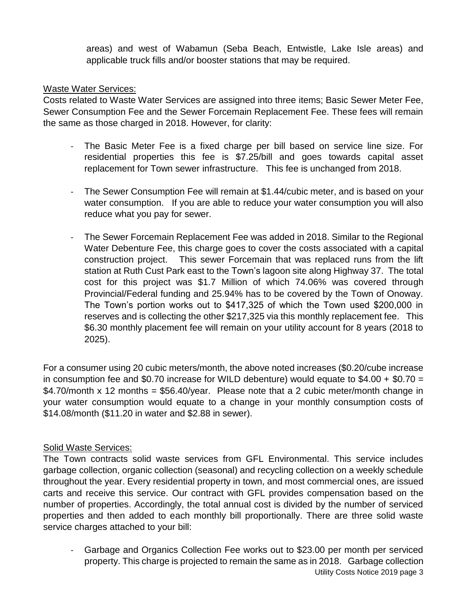areas) and west of Wabamun (Seba Beach, Entwistle, Lake Isle areas) and applicable truck fills and/or booster stations that may be required.

#### Waste Water Services:

Costs related to Waste Water Services are assigned into three items; Basic Sewer Meter Fee, Sewer Consumption Fee and the Sewer Forcemain Replacement Fee. These fees will remain the same as those charged in 2018. However, for clarity:

- The Basic Meter Fee is a fixed charge per bill based on service line size. For residential properties this fee is \$7.25/bill and goes towards capital asset replacement for Town sewer infrastructure. This fee is unchanged from 2018.
- The Sewer Consumption Fee will remain at \$1.44/cubic meter, and is based on your water consumption. If you are able to reduce your water consumption you will also reduce what you pay for sewer.
- The Sewer Forcemain Replacement Fee was added in 2018. Similar to the Regional Water Debenture Fee, this charge goes to cover the costs associated with a capital construction project. This sewer Forcemain that was replaced runs from the lift station at Ruth Cust Park east to the Town's lagoon site along Highway 37. The total cost for this project was \$1.7 Million of which 74.06% was covered through Provincial/Federal funding and 25.94% has to be covered by the Town of Onoway. The Town's portion works out to \$417,325 of which the Town used \$200,000 in reserves and is collecting the other \$217,325 via this monthly replacement fee. This \$6.30 monthly placement fee will remain on your utility account for 8 years (2018 to 2025).

For a consumer using 20 cubic meters/month, the above noted increases (\$0.20/cube increase in consumption fee and \$0.70 increase for WILD debenture) would equate to  $$4.00 + $0.70 =$ \$4.70/month x 12 months = \$56.40/year. Please note that a 2 cubic meter/month change in your water consumption would equate to a change in your monthly consumption costs of \$14.08/month (\$11.20 in water and \$2.88 in sewer).

#### Solid Waste Services:

The Town contracts solid waste services from GFL Environmental. This service includes garbage collection, organic collection (seasonal) and recycling collection on a weekly schedule throughout the year. Every residential property in town, and most commercial ones, are issued carts and receive this service. Our contract with GFL provides compensation based on the number of properties. Accordingly, the total annual cost is divided by the number of serviced properties and then added to each monthly bill proportionally. There are three solid waste service charges attached to your bill:

Utility Costs Notice 2019 page 3 - Garbage and Organics Collection Fee works out to \$23.00 per month per serviced property. This charge is projected to remain the same as in 2018. Garbage collection